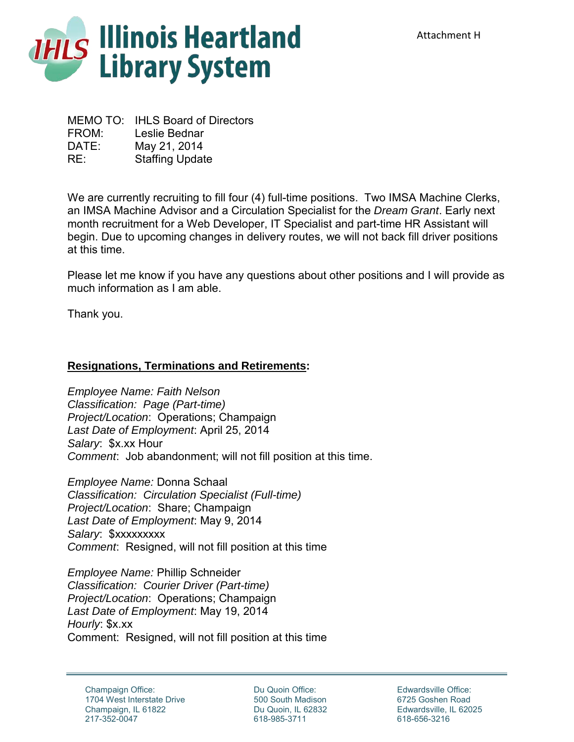

MEMO TO: IHLS Board of Directors FROM: Leslie Bednar DATE: May 21, 2014 RE: Staffing Update

We are currently recruiting to fill four (4) full-time positions. Two IMSA Machine Clerks, an IMSA Machine Advisor and a Circulation Specialist for the *Dream Grant*. Early next month recruitment for a Web Developer, IT Specialist and part-time HR Assistant will begin. Due to upcoming changes in delivery routes, we will not back fill driver positions at this time.

Please let me know if you have any questions about other positions and I will provide as much information as I am able.

Thank you.

## **Resignations, Terminations and Retirements:**

*Employee Name: Faith Nelson Classification: Page (Part-time) Project/Location*: Operations; Champaign *Last Date of Employment*: April 25, 2014 *Salary*: \$x.xx Hour *Comment*: Job abandonment; will not fill position at this time.

*Employee Name:* Donna Schaal *Classification: Circulation Specialist (Full-time) Project/Location*: Share; Champaign *Last Date of Employment*: May 9, 2014 *Salary*: \$xxxxxxxxx *Comment*: Resigned, will not fill position at this time

*Employee Name:* Phillip Schneider *Classification: Courier Driver (Part-time) Project/Location*: Operations; Champaign *Last Date of Employment*: May 19, 2014 *Hourly*: \$x.xx Comment: Resigned, will not fill position at this time

Du Quoin Office: 500 South Madison Du Quoin, IL 62832 618-985-3711

Edwardsville Office: 6725 Goshen Road Edwardsville, IL 62025 618-656-3216